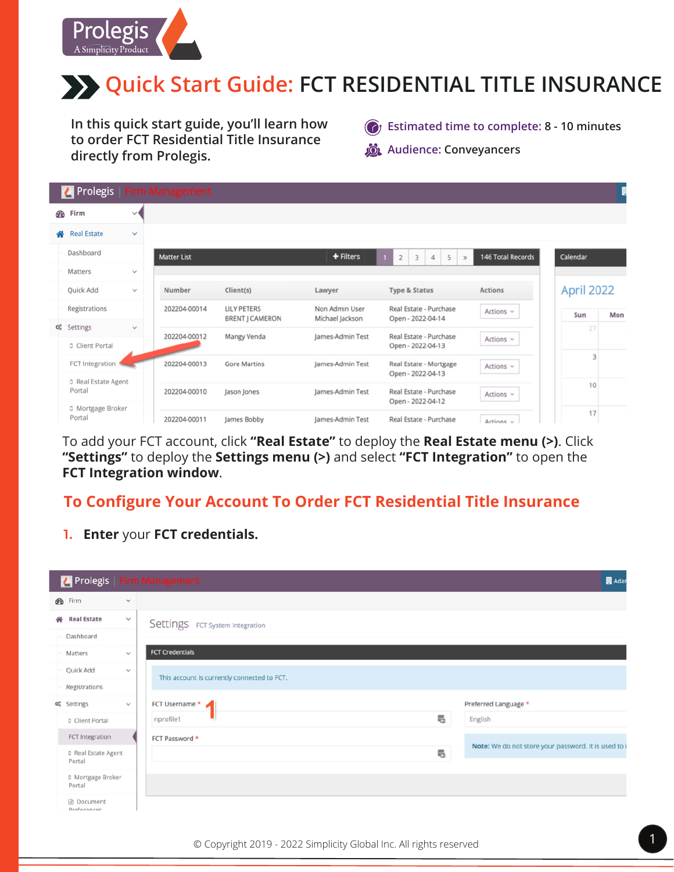

**In this quick start guide, you'll learn how to order FCT Residential Title Insurance directly from Prolegis.**

**C**<sup>t</sup> Estimated time to complete: 8 - 10 minutes *S* Audience: Conveyancers

|                       | Prolegis                      |              | <b>Firm Management</b> |                                              |                                   |                                                |                   |            | Ę   |
|-----------------------|-------------------------------|--------------|------------------------|----------------------------------------------|-----------------------------------|------------------------------------------------|-------------------|------------|-----|
|                       | <b>B</b> Firm                 | $\vee$       |                        |                                              |                                   |                                                |                   |            |     |
| 备                     | <b>Real Estate</b>            | $\checkmark$ |                        |                                              |                                   |                                                |                   |            |     |
|                       | Dashboard                     |              | <b>Matter List</b>     |                                              | + Filters                         | $\overline{2}$<br>3<br>4<br>5<br>$\mathcal{D}$ | 146 Total Records | Calendar   |     |
|                       | Matters                       | $\checkmark$ |                        |                                              |                                   |                                                |                   |            |     |
|                       | Quick Add                     | $\checkmark$ | Number                 | Client(s)                                    | Lawyer                            | Type & Status                                  | Actions           | April 2022 |     |
|                       | Registrations                 |              | 202204-00014           | <b>LILY PETERS</b><br><b>BRENT J CAMERON</b> | Non Admin User<br>Michael Jackson | Real Estate - Purchase<br>Open - 2022-04-14    | Actions $\vee$    | Sun        | Mon |
| $\mathsf{Q}_\alpha^o$ | Settings<br>D Client Portal   | $\checkmark$ | 202204-00012           | Mangy Venda                                  | James-Admin Test                  | Real Estate - Purchase<br>Open - 2022-04-13    | Actions $\sim$    | 27         |     |
|                       | FCT Integration               |              | 202204-00013           | <b>Gore Martins</b>                          | James-Admin Test                  | Real Estate - Mortgage<br>Open - 2022-04-13    | Actions $\vee$    | 3          |     |
|                       | D Real Estate Agent<br>Portal |              | 202204-00010           | Jason Jones                                  | James-Admin Test                  | Real Estate - Purchase<br>Open - 2022-04-12    | Actions $\vee$    | 10         | и.  |
|                       | D Mortgage Broker<br>Portal   |              | 202204-00011           | lames Bobby                                  | lames-Admin Test                  | Real Estate - Purchase                         | Actions           | 17         | т.  |

To add your FCT account, click **"Real Estate"** to deploy the **Real Estate menu (>)**. Click **"Settings"** to deploy the **Settings menu (>)** and select **"FCT Integration"** to open the **FCT Integration window**.

#### **To Configure Your Account To Order FCT Residential Title Insurance**

**1. Enter** your **FCT credentials.**

|   | Prolegis                             |              | <b>Firm Management</b>                      | <b>B</b> Adar                                        |
|---|--------------------------------------|--------------|---------------------------------------------|------------------------------------------------------|
|   | <b>B</b> Firm                        | $\checkmark$ |                                             |                                                      |
| 습 | <b>Real Estate</b>                   | $\checkmark$ | Settings FCT System Integration             |                                                      |
|   | Dashboard                            |              |                                             |                                                      |
|   | Matters                              | $\checkmark$ | <b>FCT Credentials</b>                      |                                                      |
|   | Quick Add                            | $\checkmark$ | This account is currently connected to FCT. |                                                      |
|   | Registrations                        |              |                                             |                                                      |
|   | O <sub>o</sub> <sup>o</sup> Settings | $\checkmark$ | FCT Username *<br>и                         | Preferred Language *                                 |
|   | D Client Portal                      |              | 囁<br>nprofile1                              | English                                              |
|   | FCT Integration                      |              | FCT Password *                              | Note: We do not store your password. It is used to i |
|   | D Real Estate Agent<br>Portal        |              | ų,                                          |                                                      |
|   | D Mortgage Broker<br>Portal          |              |                                             |                                                      |
|   | Document<br>Preferences              |              |                                             |                                                      |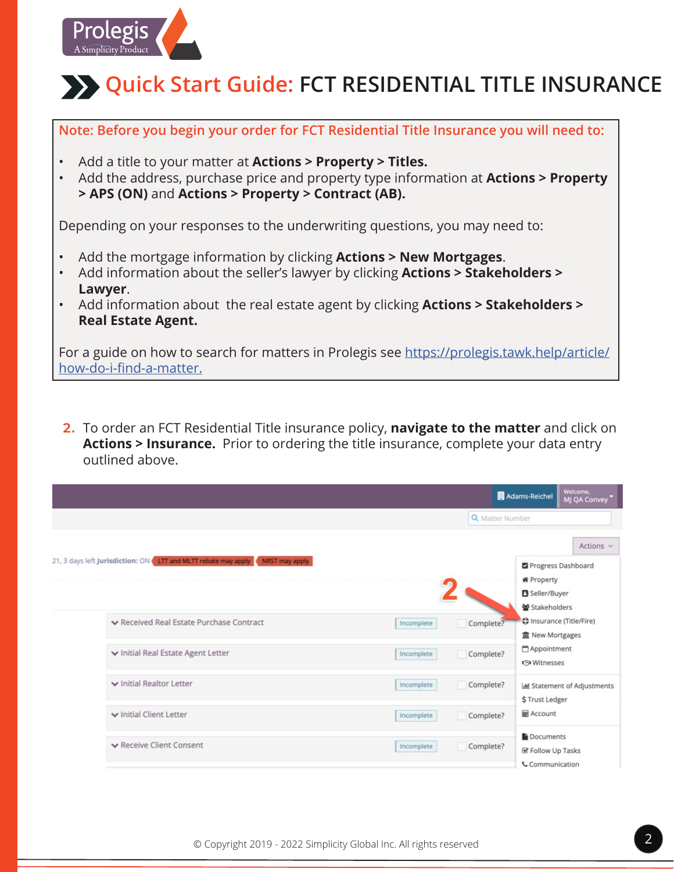

**Note: Before you begin your order for FCT Residential Title Insurance you will need to:**

- Add a title to your matter at **Actions > Property > Titles.**
- Add the address, purchase price and property type information at **Actions > Property > APS (ON)** and **Actions > Property > Contract (AB).**

Depending on your responses to the underwriting questions, you may need to:

- Add the mortgage information by clicking **Actions > New Mortgages**.
- Add information about the seller's lawyer by clicking **Actions > Stakeholders > Lawyer**.
- Add information about the real estate agent by clicking **Actions > Stakeholders > Real Estate Agent.**

For a guide on how to search for matters in Prolegis see https://prolegis.tawk.help/article/ how-do-i-find-a-matter.

**2.** To order an FCT Residential Title insurance policy, **navigate to the matter** and click on **Actions > Insurance.** Prior to ordering the title insurance, complete your data entry outlined above.

|                                                                                  |            | Adams-Reichel                                                               | Welcome,<br>MJ QA Convey            |
|----------------------------------------------------------------------------------|------------|-----------------------------------------------------------------------------|-------------------------------------|
|                                                                                  |            | Q Matter Number                                                             |                                     |
| 21, 3 days left Jurisdiction: ON LTT and MLTT rebate may apply<br>NRST may apply |            | Progress Dashboard<br><b>备 Property</b><br>Seller/Buyer<br>* Stakeholders   | Actions $\vee$                      |
| ▼ Received Real Estate Purchase Contract                                         | Incomplete | Complete?<br><b>血 New Mortgages</b>                                         | <b>D</b> Insurance (Title/Fire)     |
| ▼ Initial Real Estate Agent Letter                                               | Incomplete | Appointment<br>Complete?<br><b>S</b> Witnesses                              |                                     |
| v Initial Realtor Letter                                                         | Incomplete | Complete?<br>\$Trust Ledger                                                 | <b>Idd</b> Statement of Adjustments |
| v Initial Client Letter                                                          | Incomplete | <b>HE</b> Account<br>Complete?                                              |                                     |
| ▼ Receive Client Consent                                                         | Incomplete | Documents<br>Complete?<br><b>Se Follow Up Tasks</b><br><b>Communication</b> |                                     |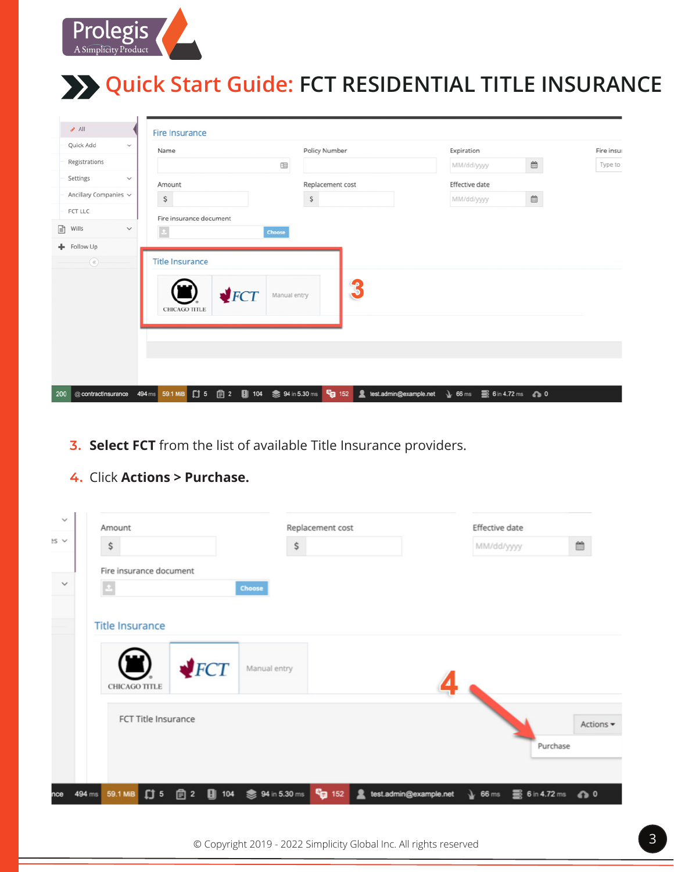

| A                                     | <b>Fire Insurance</b>                                             |                           |                                                                                       |            |
|---------------------------------------|-------------------------------------------------------------------|---------------------------|---------------------------------------------------------------------------------------|------------|
| Quick Add<br>$\checkmark$             | Name                                                              | Policy Number             | Expiration                                                                            | Fire insur |
| Registrations                         | 因                                                                 |                           | $\mathop{m}\limits^{\scriptscriptstyle\mathop{\mathsf{m}}\limits}$<br>MM/dd/yyyy      | Type to:   |
| Settings<br>$\checkmark$              | Amount                                                            | Replacement cost          | Effective date                                                                        |            |
| Ancillary Companies v                 | $\boldsymbol{\mathsf{S}}$                                         | $\boldsymbol{\mathsf{S}}$ | $\widehat{\boxplus}$<br>MM/dd/yyyy                                                    |            |
| FCT LLC                               | Fire insurance document                                           |                           |                                                                                       |            |
| Wills<br>$\mathbb{R}$<br>$\checkmark$ | $\mathbb{E}$<br>Choose                                            |                           |                                                                                       |            |
| + Follow Up                           |                                                                   |                           |                                                                                       |            |
| $^\circledR$                          | <b>Title Insurance</b>                                            |                           |                                                                                       |            |
|                                       | $\blacktriangleright$ FCT<br>Manual entry<br><b>CHICAGO TITLE</b> | 3                         |                                                                                       |            |
|                                       |                                                                   |                           |                                                                                       |            |
|                                       |                                                                   |                           |                                                                                       |            |
| @ contractInsurance<br>200            | 494 ms 59.1 MiB 【J 5 图 2 图 104 参 94 in 5.30 ms C <sub>u</sub> 152 | test.admin@example.net    | $\searrow$ 66 ms $\qquad \qquad \blacksquare$ 6 in 4.72 ms $\qquad \qquad \diamond$ 0 |            |

- **3. Select FCT** from the list of available Title Insurance providers.
- **4.** Click **Actions > Purchase.**

| $\checkmark$ |        | Amount                                         |                           |                                  | Replacement cost          |                                                            | Effective date |          |           |
|--------------|--------|------------------------------------------------|---------------------------|----------------------------------|---------------------------|------------------------------------------------------------|----------------|----------|-----------|
| $BS \vee$    |        | \$                                             |                           | \$                               |                           |                                                            | MM/dd/yyyy     |          | 曲         |
|              |        | Fire insurance document                        |                           |                                  |                           |                                                            |                |          |           |
| $\checkmark$ |        | $\vert$ 2                                      |                           | Choose                           |                           |                                                            |                |          |           |
|              |        | <b>Title Insurance</b><br><b>CHICAGO TITLE</b> | $\blacktriangleright$ FCT | Manual entry                     |                           |                                                            |                |          |           |
|              |        | FCT Title Insurance                            |                           |                                  |                           |                                                            |                | Purchase | Actions - |
| nce          | 494 ms | 59.1 MiB [ J 5                                 |                           | <b>■ 2</b> ■ 104 ● 94 in 5.30 ms | <b>P</b> <sub>2</sub> 152 | test.admin@example.net \66 ms \66 ms \66 6 in 4.72 ms \6 0 |                |          |           |